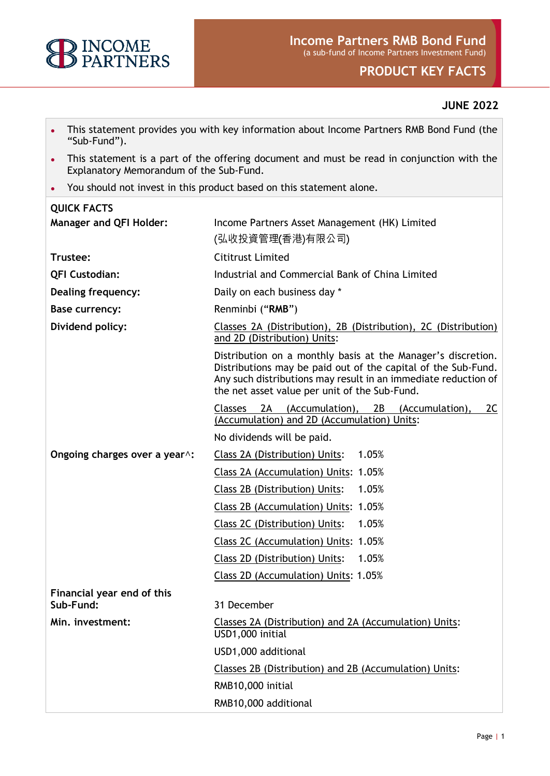

# **PRODUCT KEY FACTS**

# **JUNE 2022**

- This statement provides you with key information about Income Partners RMB Bond Fund (the "Sub-Fund").
- This statement is a part of the offering document and must be read in conjunction with the Explanatory Memorandum of the Sub-Fund.
- You should not invest in this product based on this statement alone.

# **QUICK FACTS Manager and QFI Holder:** Income Partners Asset Management (HK) Limited (弘收投資管理(香港)有限公司) **Trustee:** Cititrust Limited **QFI Custodian:** Industrial and Commercial Bank of China Limited **Dealing frequency:** Daily on each business day \* **Base currency:** Renminbi ("**RMB**") **Dividend policy:** Classes 2A (Distribution), 2B (Distribution), 2C (Distribution) and 2D (Distribution) Units: Distribution on a monthly basis at the Manager's discretion. Distributions may be paid out of the capital of the Sub-Fund. Any such distributions may result in an immediate reduction of the net asset value per unit of the Sub-Fund. Classes 2A (Accumulation), 2B (Accumulation), 2C (Accumulation) and 2D (Accumulation) Units: No dividends will be paid. **Ongoing charges over a year^:** Class 2A (Distribution) Units: 1.05% Class 2A (Accumulation) Units: 1.05% Class 2B (Distribution) Units: 1.05% Class 2B (Accumulation) Units: 1.05% Class 2C (Distribution) Units: 1.05% Class 2C (Accumulation) Units: 1.05% Class 2D (Distribution) Units: 1.05% Class 2D (Accumulation) Units: 1.05% **Financial year end of this Sub-Fund:** 31 December **Min. investment:** Classes 2A (Distribution) and 2A (Accumulation) Units: USD1,000 initial USD1,000 additional Classes 2B (Distribution) and 2B (Accumulation) Units: RMB10,000 initial RMB10,000 additional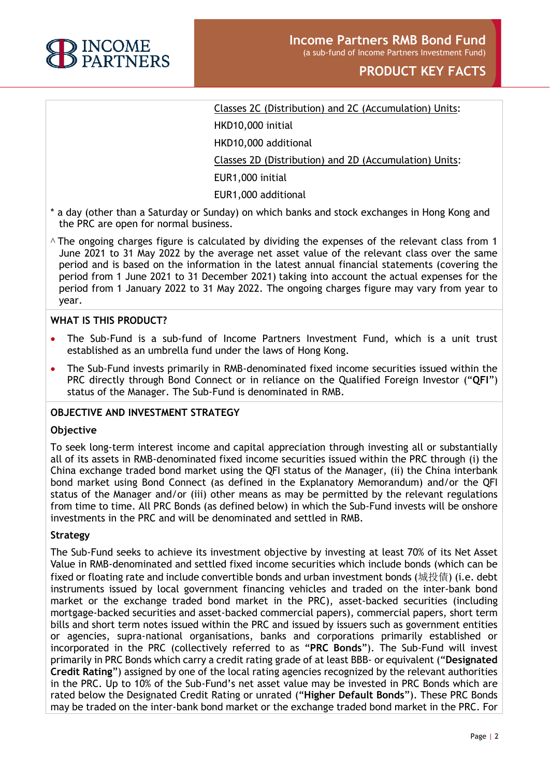

# Classes 2C (Distribution) and 2C (Accumulation) Units:

HKD10,000 initial

HKD10,000 additional

Classes 2D (Distribution) and 2D (Accumulation) Units:

EUR1,000 initial

EUR1,000 additional

- \* a day (other than a Saturday or Sunday) on which banks and stock exchanges in Hong Kong and the PRC are open for normal business.
- ^ The ongoing charges figure is calculated by dividing the expenses of the relevant class from 1 June 2021 to 31 May 2022 by the average net asset value of the relevant class over the same period and is based on the information in the latest annual financial statements (covering the period from 1 June 2021 to 31 December 2021) taking into account the actual expenses for the period from 1 January 2022 to 31 May 2022. The ongoing charges figure may vary from year to year.

# **WHAT IS THIS PRODUCT?**

- The Sub-Fund is a sub-fund of Income Partners Investment Fund, which is a unit trust established as an umbrella fund under the laws of Hong Kong.
- The Sub-Fund invests primarily in RMB-denominated fixed income securities issued within the PRC directly through Bond Connect or in reliance on the Qualified Foreign Investor ("**QFI**") status of the Manager. The Sub-Fund is denominated in RMB.

#### **OBJECTIVE AND INVESTMENT STRATEGY**

#### **Objective**

To seek long-term interest income and capital appreciation through investing all or substantially all of its assets in RMB-denominated fixed income securities issued within the PRC through (i) the China exchange traded bond market using the QFI status of the Manager, (ii) the China interbank bond market using Bond Connect (as defined in the Explanatory Memorandum) and/or the QFI status of the Manager and/or (iii) other means as may be permitted by the relevant regulations from time to time. All PRC Bonds (as defined below) in which the Sub-Fund invests will be onshore investments in the PRC and will be denominated and settled in RMB.

#### **Strategy**

The Sub-Fund seeks to achieve its investment objective by investing at least 70% of its Net Asset Value in RMB-denominated and settled fixed income securities which include bonds (which can be fixed or floating rate and include convertible bonds and urban investment bonds (城投債) (i.e. debt instruments issued by local government financing vehicles and traded on the inter-bank bond market or the exchange traded bond market in the PRC), asset-backed securities (including mortgage-backed securities and asset-backed commercial papers), commercial papers, short term bills and short term notes issued within the PRC and issued by issuers such as government entities or agencies, supra-national organisations, banks and corporations primarily established or incorporated in the PRC (collectively referred to as "**PRC Bonds**"). The Sub-Fund will invest primarily in PRC Bonds which carry a credit rating grade of at least BBB- or equivalent ("**Designated Credit Rating**") assigned by one of the local rating agencies recognized by the relevant authorities in the PRC. Up to 10% of the Sub-Fund's net asset value may be invested in PRC Bonds which are rated below the Designated Credit Rating or unrated ("**Higher Default Bonds**"). These PRC Bonds may be traded on the inter-bank bond market or the exchange traded bond market in the PRC. For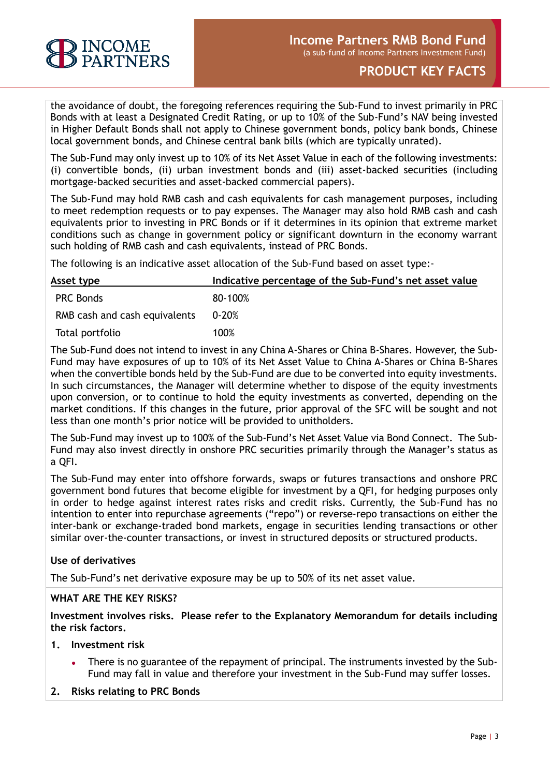

the avoidance of doubt, the foregoing references requiring the Sub-Fund to invest primarily in PRC Bonds with at least a Designated Credit Rating, or up to 10% of the Sub-Fund's NAV being invested in Higher Default Bonds shall not apply to Chinese government bonds, policy bank bonds, Chinese local government bonds, and Chinese central bank bills (which are typically unrated).

The Sub-Fund may only invest up to 10% of its Net Asset Value in each of the following investments: (i) convertible bonds, (ii) urban investment bonds and (iii) asset-backed securities (including mortgage-backed securities and asset-backed commercial papers).

The Sub-Fund may hold RMB cash and cash equivalents for cash management purposes, including to meet redemption requests or to pay expenses. The Manager may also hold RMB cash and cash equivalents prior to investing in PRC Bonds or if it determines in its opinion that extreme market conditions such as change in government policy or significant downturn in the economy warrant such holding of RMB cash and cash equivalents, instead of PRC Bonds.

The following is an indicative asset allocation of the Sub-Fund based on asset type:-

| Asset type                    | Indicative percentage of the Sub-Fund's net asset value |
|-------------------------------|---------------------------------------------------------|
| <b>PRC Bonds</b>              | 80-100%                                                 |
| RMB cash and cash equivalents | $0 - 20%$                                               |
| Total portfolio               | 100%                                                    |

The Sub-Fund does not intend to invest in any China A-Shares or China B-Shares. However, the Sub-Fund may have exposures of up to 10% of its Net Asset Value to China A-Shares or China B-Shares when the convertible bonds held by the Sub-Fund are due to be converted into equity investments. In such circumstances, the Manager will determine whether to dispose of the equity investments upon conversion, or to continue to hold the equity investments as converted, depending on the market conditions. If this changes in the future, prior approval of the SFC will be sought and not less than one month's prior notice will be provided to unitholders.

The Sub-Fund may invest up to 100% of the Sub-Fund's Net Asset Value via Bond Connect. The Sub-Fund may also invest directly in onshore PRC securities primarily through the Manager's status as a QFI.

The Sub-Fund may enter into offshore forwards, swaps or futures transactions and onshore PRC government bond futures that become eligible for investment by a QFI, for hedging purposes only in order to hedge against interest rates risks and credit risks. Currently, the Sub-Fund has no intention to enter into repurchase agreements ("repo") or reverse-repo transactions on either the inter-bank or exchange-traded bond markets, engage in securities lending transactions or other similar over-the-counter transactions, or invest in structured deposits or structured products.

# **Use of derivatives**

The Sub-Fund's net derivative exposure may be up to 50% of its net asset value.

# **WHAT ARE THE KEY RISKS?**

**Investment involves risks. Please refer to the Explanatory Memorandum for details including the risk factors.**

#### **1. Investment risk**

- There is no guarantee of the repayment of principal. The instruments invested by the Sub-Fund may fall in value and therefore your investment in the Sub-Fund may suffer losses.
- **2. Risks relating to PRC Bonds**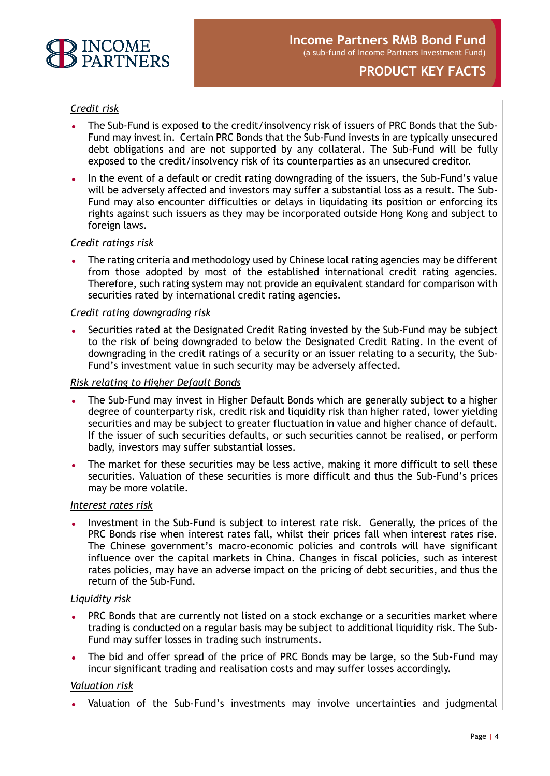

# *Credit risk*

- The Sub-Fund is exposed to the credit/insolvency risk of issuers of PRC Bonds that the Sub-Fund may invest in. Certain PRC Bonds that the Sub-Fund invests in are typically unsecured debt obligations and are not supported by any collateral. The Sub-Fund will be fully exposed to the credit/insolvency risk of its counterparties as an unsecured creditor.
- In the event of a default or credit rating downgrading of the issuers, the Sub-Fund's value will be adversely affected and investors may suffer a substantial loss as a result. The Sub-Fund may also encounter difficulties or delays in liquidating its position or enforcing its rights against such issuers as they may be incorporated outside Hong Kong and subject to foreign laws.

# *Credit ratings risk*

The rating criteria and methodology used by Chinese local rating agencies may be different from those adopted by most of the established international credit rating agencies. Therefore, such rating system may not provide an equivalent standard for comparison with securities rated by international credit rating agencies.

# *Credit rating downgrading risk*

Securities rated at the Designated Credit Rating invested by the Sub-Fund may be subject to the risk of being downgraded to below the Designated Credit Rating. In the event of downgrading in the credit ratings of a security or an issuer relating to a security, the Sub-Fund's investment value in such security may be adversely affected.

# *Risk relating to Higher Default Bonds*

- The Sub-Fund may invest in Higher Default Bonds which are generally subject to a higher degree of counterparty risk, credit risk and liquidity risk than higher rated, lower yielding securities and may be subject to greater fluctuation in value and higher chance of default. If the issuer of such securities defaults, or such securities cannot be realised, or perform badly, investors may suffer substantial losses.
- The market for these securities may be less active, making it more difficult to sell these securities. Valuation of these securities is more difficult and thus the Sub-Fund's prices may be more volatile.

#### *Interest rates risk*

Investment in the Sub-Fund is subject to interest rate risk. Generally, the prices of the PRC Bonds rise when interest rates fall, whilst their prices fall when interest rates rise. The Chinese government's macro-economic policies and controls will have significant influence over the capital markets in China. Changes in fiscal policies, such as interest rates policies, may have an adverse impact on the pricing of debt securities, and thus the return of the Sub-Fund.

#### *Liquidity risk*

- PRC Bonds that are currently not listed on a stock exchange or a securities market where trading is conducted on a regular basis may be subject to additional liquidity risk. The Sub-Fund may suffer losses in trading such instruments.
- The bid and offer spread of the price of PRC Bonds may be large, so the Sub-Fund may incur significant trading and realisation costs and may suffer losses accordingly.

# *Valuation risk*

Valuation of the Sub-Fund's investments may involve uncertainties and judgmental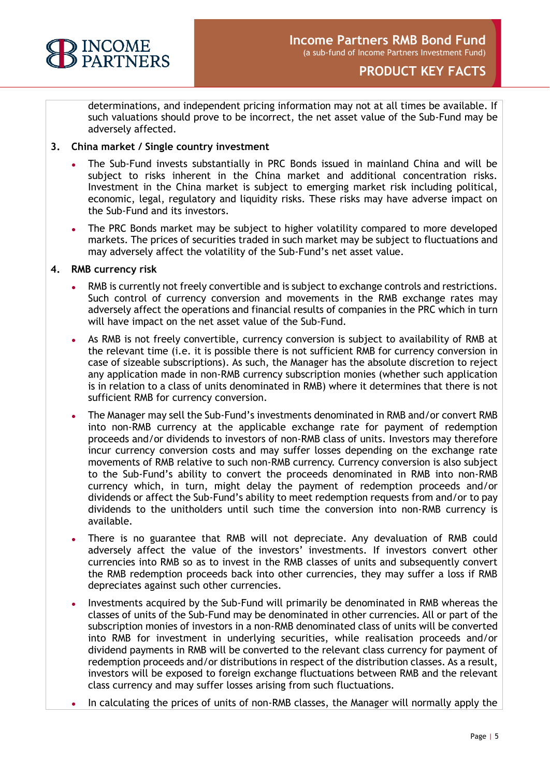

determinations, and independent pricing information may not at all times be available. If such valuations should prove to be incorrect, the net asset value of the Sub-Fund may be adversely affected.

# **3. China market / Single country investment**

- The Sub-Fund invests substantially in PRC Bonds issued in mainland China and will be subject to risks inherent in the China market and additional concentration risks. Investment in the China market is subject to emerging market risk including political, economic, legal, regulatory and liquidity risks. These risks may have adverse impact on the Sub-Fund and its investors.
- The PRC Bonds market may be subject to higher volatility compared to more developed markets. The prices of securities traded in such market may be subject to fluctuations and may adversely affect the volatility of the Sub-Fund's net asset value.

# **4. RMB currency risk**

- RMB is currently not freely convertible and is subject to exchange controls and restrictions. Such control of currency conversion and movements in the RMB exchange rates may adversely affect the operations and financial results of companies in the PRC which in turn will have impact on the net asset value of the Sub-Fund.
- As RMB is not freely convertible, currency conversion is subject to availability of RMB at the relevant time (i.e. it is possible there is not sufficient RMB for currency conversion in case of sizeable subscriptions). As such, the Manager has the absolute discretion to reject any application made in non-RMB currency subscription monies (whether such application is in relation to a class of units denominated in RMB) where it determines that there is not sufficient RMB for currency conversion.
- The Manager may sell the Sub-Fund's investments denominated in RMB and/or convert RMB into non-RMB currency at the applicable exchange rate for payment of redemption proceeds and/or dividends to investors of non-RMB class of units. Investors may therefore incur currency conversion costs and may suffer losses depending on the exchange rate movements of RMB relative to such non-RMB currency. Currency conversion is also subject to the Sub-Fund's ability to convert the proceeds denominated in RMB into non-RMB currency which, in turn, might delay the payment of redemption proceeds and/or dividends or affect the Sub-Fund's ability to meet redemption requests from and/or to pay dividends to the unitholders until such time the conversion into non-RMB currency is available.
- There is no guarantee that RMB will not depreciate. Any devaluation of RMB could adversely affect the value of the investors' investments. If investors convert other currencies into RMB so as to invest in the RMB classes of units and subsequently convert the RMB redemption proceeds back into other currencies, they may suffer a loss if RMB depreciates against such other currencies.
- Investments acquired by the Sub-Fund will primarily be denominated in RMB whereas the classes of units of the Sub-Fund may be denominated in other currencies. All or part of the subscription monies of investors in a non-RMB denominated class of units will be converted into RMB for investment in underlying securities, while realisation proceeds and/or dividend payments in RMB will be converted to the relevant class currency for payment of redemption proceeds and/or distributions in respect of the distribution classes. As a result, investors will be exposed to foreign exchange fluctuations between RMB and the relevant class currency and may suffer losses arising from such fluctuations.
- In calculating the prices of units of non-RMB classes, the Manager will normally apply the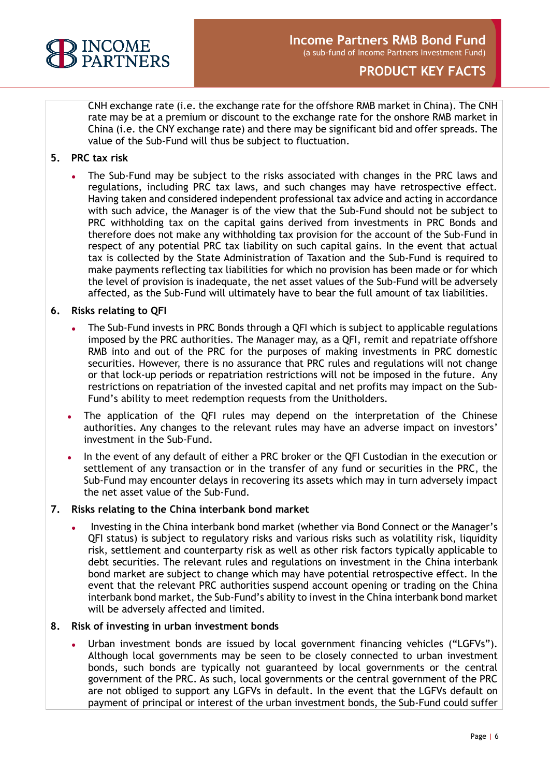

CNH exchange rate (i.e. the exchange rate for the offshore RMB market in China). The CNH rate may be at a premium or discount to the exchange rate for the onshore RMB market in China (i.e. the CNY exchange rate) and there may be significant bid and offer spreads. The value of the Sub-Fund will thus be subject to fluctuation.

# **5. PRC tax risk**

The Sub-Fund may be subject to the risks associated with changes in the PRC laws and regulations, including PRC tax laws, and such changes may have retrospective effect. Having taken and considered independent professional tax advice and acting in accordance with such advice, the Manager is of the view that the Sub-Fund should not be subject to PRC withholding tax on the capital gains derived from investments in PRC Bonds and therefore does not make any withholding tax provision for the account of the Sub-Fund in respect of any potential PRC tax liability on such capital gains. In the event that actual tax is collected by the State Administration of Taxation and the Sub-Fund is required to make payments reflecting tax liabilities for which no provision has been made or for which the level of provision is inadequate, the net asset values of the Sub-Fund will be adversely affected, as the Sub-Fund will ultimately have to bear the full amount of tax liabilities.

# **6. Risks relating to QFI**

- The Sub-Fund invests in PRC Bonds through a QFI which is subject to applicable regulations imposed by the PRC authorities. The Manager may, as a QFI, remit and repatriate offshore RMB into and out of the PRC for the purposes of making investments in PRC domestic securities. However, there is no assurance that PRC rules and regulations will not change or that lock-up periods or repatriation restrictions will not be imposed in the future. Any restrictions on repatriation of the invested capital and net profits may impact on the Sub-Fund's ability to meet redemption requests from the Unitholders.
- The application of the QFI rules may depend on the interpretation of the Chinese authorities. Any changes to the relevant rules may have an adverse impact on investors' investment in the Sub-Fund.
- In the event of any default of either a PRC broker or the QFI Custodian in the execution or settlement of any transaction or in the transfer of any fund or securities in the PRC, the Sub-Fund may encounter delays in recovering its assets which may in turn adversely impact the net asset value of the Sub-Fund.

#### **7. Risks relating to the China interbank bond market**

Investing in the China interbank bond market (whether via Bond Connect or the Manager's QFI status) is subject to regulatory risks and various risks such as volatility risk, liquidity risk, settlement and counterparty risk as well as other risk factors typically applicable to debt securities. The relevant rules and regulations on investment in the China interbank bond market are subject to change which may have potential retrospective effect. In the event that the relevant PRC authorities suspend account opening or trading on the China interbank bond market, the Sub-Fund's ability to invest in the China interbank bond market will be adversely affected and limited.

#### **8. Risk of investing in urban investment bonds**

Urban investment bonds are issued by local government financing vehicles ("LGFVs"). Although local governments may be seen to be closely connected to urban investment bonds, such bonds are typically not guaranteed by local governments or the central government of the PRC. As such, local governments or the central government of the PRC are not obliged to support any LGFVs in default. In the event that the LGFVs default on payment of principal or interest of the urban investment bonds, the Sub-Fund could suffer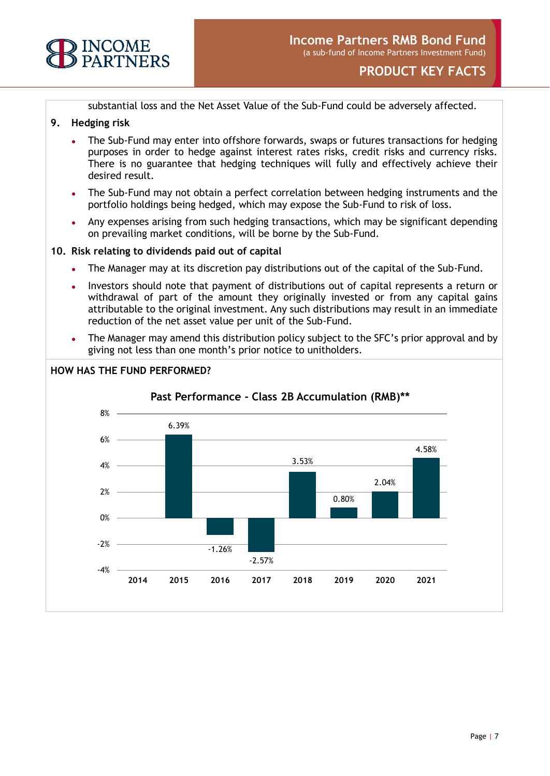

substantial loss and the Net Asset Value of the Sub-Fund could be adversely affected.

# **9. Hedging risk**

- The Sub-Fund may enter into offshore forwards, swaps or futures transactions for hedging purposes in order to hedge against interest rates risks, credit risks and currency risks. There is no guarantee that hedging techniques will fully and effectively achieve their desired result.
- The Sub-Fund may not obtain a perfect correlation between hedging instruments and the portfolio holdings being hedged, which may expose the Sub-Fund to risk of loss.
- Any expenses arising from such hedging transactions, which may be significant depending on prevailing market conditions, will be borne by the Sub-Fund.

# **10. Risk relating to dividends paid out of capital**

- The Manager may at its discretion pay distributions out of the capital of the Sub-Fund.
- Investors should note that payment of distributions out of capital represents a return or withdrawal of part of the amount they originally invested or from any capital gains attributable to the original investment. Any such distributions may result in an immediate reduction of the net asset value per unit of the Sub-Fund.
- The Manager may amend this distribution policy subject to the SFC's prior approval and by giving not less than one month's prior notice to unitholders.

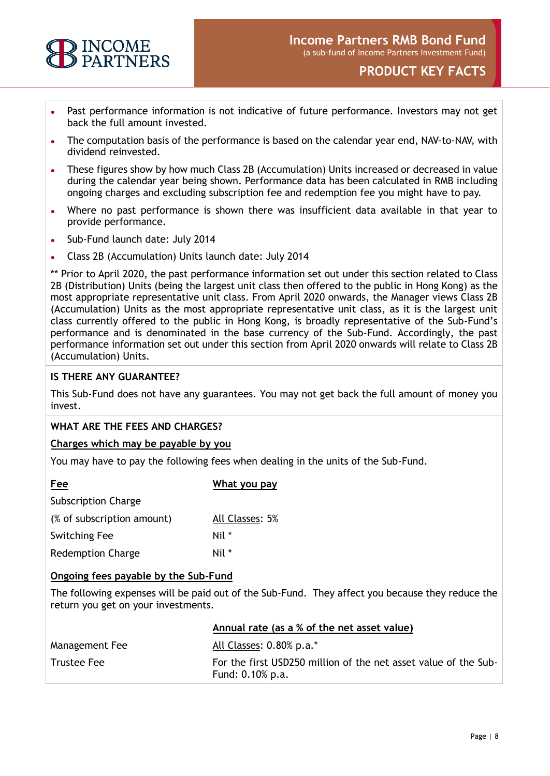

- Past performance information is not indicative of future performance. Investors may not get back the full amount invested.
- The computation basis of the performance is based on the calendar year end, NAV-to-NAV, with dividend reinvested.
- These figures show by how much Class 2B (Accumulation) Units increased or decreased in value during the calendar year being shown. Performance data has been calculated in RMB including ongoing charges and excluding subscription fee and redemption fee you might have to pay.
- Where no past performance is shown there was insufficient data available in that year to provide performance.
- Sub-Fund launch date: July 2014
- Class 2B (Accumulation) Units launch date: July 2014

\*\* Prior to April 2020, the past performance information set out under this section related to Class 2B (Distribution) Units (being the largest unit class then offered to the public in Hong Kong) as the most appropriate representative unit class. From April 2020 onwards, the Manager views Class 2B (Accumulation) Units as the most appropriate representative unit class, as it is the largest unit class currently offered to the public in Hong Kong, is broadly representative of the Sub-Fund's performance and is denominated in the base currency of the Sub-Fund. Accordingly, the past performance information set out under this section from April 2020 onwards will relate to Class 2B (Accumulation) Units.

# **IS THERE ANY GUARANTEE?**

This Sub-Fund does not have any guarantees. You may not get back the full amount of money you invest.

#### **WHAT ARE THE FEES AND CHARGES?**

#### **Charges which may be payable by you**

You may have to pay the following fees when dealing in the units of the Sub-Fund.

| Fee                        | What you pay    |  |
|----------------------------|-----------------|--|
| <b>Subscription Charge</b> |                 |  |
| (% of subscription amount) | All Classes: 5% |  |
| <b>Switching Fee</b>       | Nil *           |  |
| <b>Redemption Charge</b>   | Nil *           |  |

#### **Ongoing fees payable by the Sub-Fund**

The following expenses will be paid out of the Sub-Fund. They affect you because they reduce the return you get on your investments.

|                | Annual rate (as a % of the net asset value)                                         |
|----------------|-------------------------------------------------------------------------------------|
| Management Fee | All Classes: 0.80% p.a.*                                                            |
| Trustee Fee    | For the first USD250 million of the net asset value of the Sub-<br>Fund: 0.10% p.a. |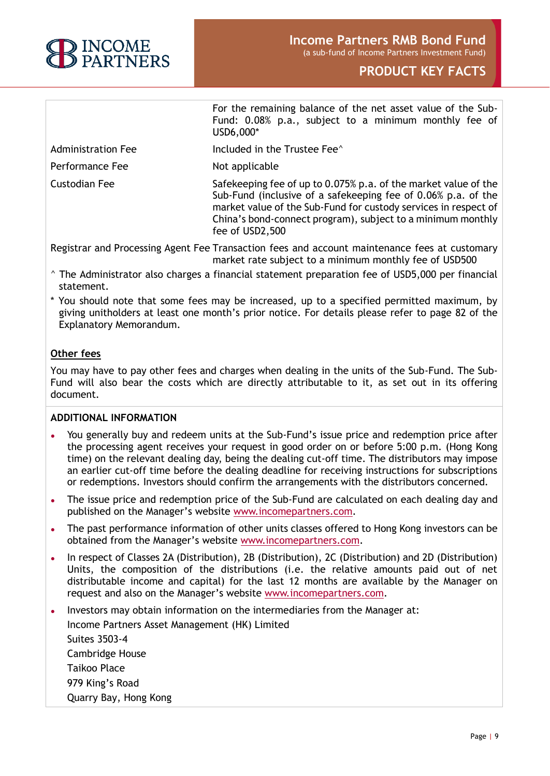

|                    | For the remaining balance of the net asset value of the Sub-<br>Fund: 0.08% p.a., subject to a minimum monthly fee of<br>USD6,000*                                                                                                                                                    |
|--------------------|---------------------------------------------------------------------------------------------------------------------------------------------------------------------------------------------------------------------------------------------------------------------------------------|
| Administration Fee | Included in the Trustee Fee <sup>^</sup>                                                                                                                                                                                                                                              |
| Performance Fee    | Not applicable                                                                                                                                                                                                                                                                        |
| Custodian Fee      | Safekeeping fee of up to 0.075% p.a. of the market value of the<br>Sub-Fund (inclusive of a safekeeping fee of 0.06% p.a. of the<br>market value of the Sub-Fund for custody services in respect of<br>China's bond-connect program), subject to a minimum monthly<br>fee of USD2,500 |

Registrar and Processing Agent Fee Transaction fees and account maintenance fees at customary market rate subject to a minimum monthly fee of USD500

- $\textdegree$  The Administrator also charges a financial statement preparation fee of USD5,000 per financial statement.
- \* You should note that some fees may be increased, up to a specified permitted maximum, by giving unitholders at least one month's prior notice. For details please refer to page 82 of the Explanatory Memorandum.

# **Other fees**

You may have to pay other fees and charges when dealing in the units of the Sub-Fund. The Sub-Fund will also bear the costs which are directly attributable to it, as set out in its offering document.

# **ADDITIONAL INFORMATION**

- You generally buy and redeem units at the Sub-Fund's issue price and redemption price after the processing agent receives your request in good order on or before 5:00 p.m. (Hong Kong time) on the relevant dealing day, being the dealing cut-off time. The distributors may impose an earlier cut-off time before the dealing deadline for receiving instructions for subscriptions or redemptions. Investors should confirm the arrangements with the distributors concerned.
- The issue price and redemption price of the Sub-Fund are calculated on each dealing day and published on the Manager's website [www.incomepartners.com.](http://www.incomepartners.com/)
- The past performance information of other units classes offered to Hong Kong investors can be obtained from the Manager's website [www.incomepartners.com.](http://www.incomepartners.com/)
- In respect of Classes 2A (Distribution), 2B (Distribution), 2C (Distribution) and 2D (Distribution) Units, the composition of the distributions (i.e. the relative amounts paid out of net distributable income and capital) for the last 12 months are available by the Manager on request and also on the Manager's website [www.incomepartners.com.](http://www.incomepartners.com/)
- Investors may obtain information on the intermediaries from the Manager at: Income Partners Asset Management (HK) Limited Suites 3503-4 Cambridge House Taikoo Place 979 King's Road Quarry Bay, Hong Kong